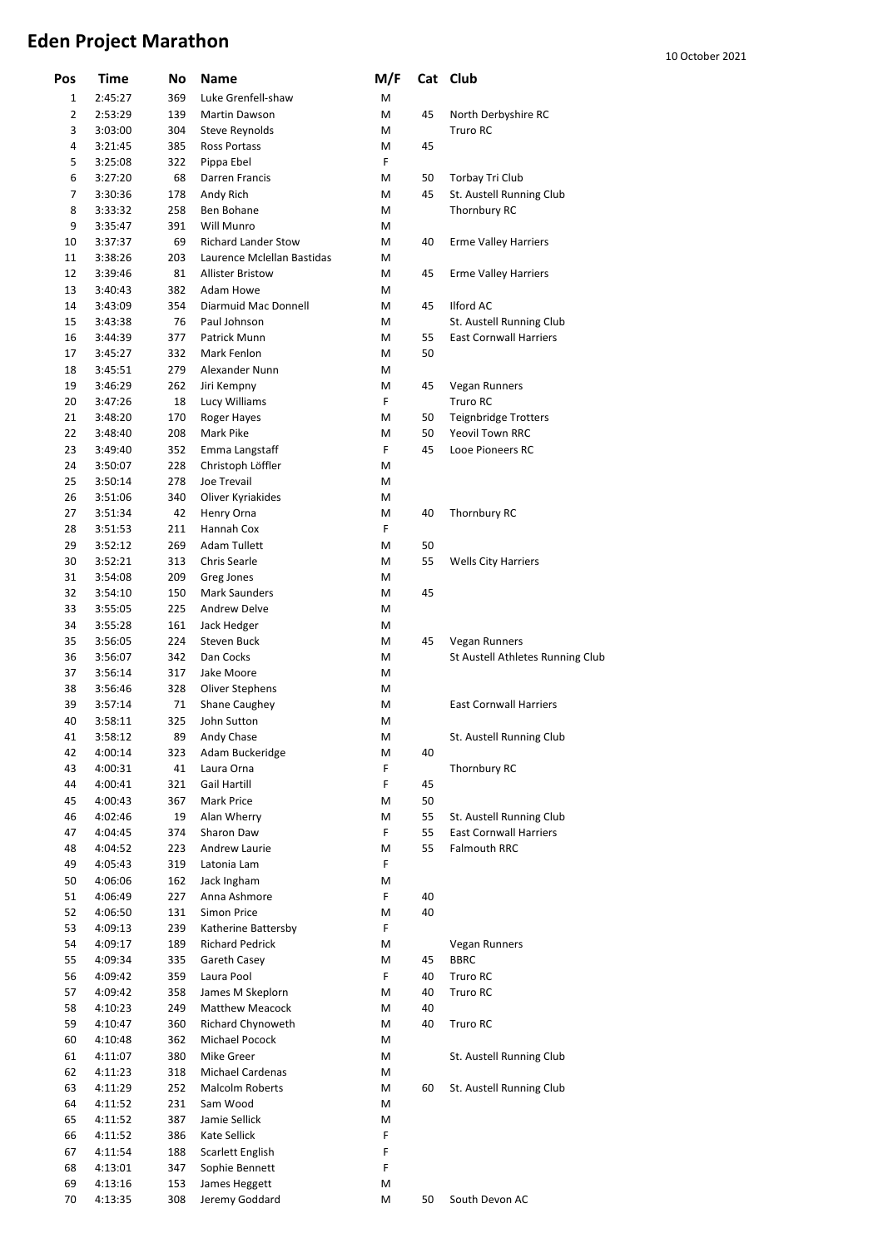## **Eden Project Marathon**

| 10 October 2021 |  |
|-----------------|--|
|-----------------|--|

| Pos            | Time    | No  | Name                       | M/F |    | Cat Club                         |
|----------------|---------|-----|----------------------------|-----|----|----------------------------------|
| 1              | 2:45:27 | 369 | Luke Grenfell-shaw         | M   |    |                                  |
| $\overline{2}$ | 2:53:29 | 139 | Martin Dawson              | M   | 45 | North Derbyshire RC              |
| 3              | 3:03:00 | 304 | Steve Reynolds             | Μ   |    | Truro RC                         |
| 4              | 3:21:45 | 385 | Ross Portass               | М   | 45 |                                  |
| 5              | 3:25:08 | 322 | Pippa Ebel                 | F   |    |                                  |
| 6              | 3:27:20 | 68  | Darren Francis             | M   | 50 | Torbay Tri Club                  |
| 7              | 3:30:36 | 178 | Andy Rich                  | M   | 45 | St. Austell Running Club         |
| 8              | 3:33:32 | 258 | Ben Bohane                 | M   |    | Thornbury RC                     |
| 9              | 3:35:47 | 391 | Will Munro                 | М   |    |                                  |
| 10             | 3:37:37 | 69  | <b>Richard Lander Stow</b> | М   | 40 | <b>Erme Valley Harriers</b>      |
| 11             | 3:38:26 | 203 | Laurence Mclellan Bastidas | М   |    |                                  |
| 12             | 3:39:46 | 81  | <b>Allister Bristow</b>    | M   | 45 | <b>Erme Valley Harriers</b>      |
| 13             | 3:40:43 | 382 | Adam Howe                  | М   |    |                                  |
| 14             | 3:43:09 | 354 | Diarmuid Mac Donnell       | М   | 45 | <b>Ilford AC</b>                 |
| 15             | 3:43:38 | 76  | Paul Johnson               | М   |    | St. Austell Running Club         |
| 16             | 3:44:39 | 377 | Patrick Munn               | M   | 55 | <b>East Cornwall Harriers</b>    |
| 17             | 3:45:27 | 332 | Mark Fenlon                | M   | 50 |                                  |
| 18             | 3:45:51 | 279 | Alexander Nunn             | M   |    |                                  |
| 19             | 3:46:29 | 262 | Jiri Kempny                | Μ   | 45 | Vegan Runners                    |
| 20             | 3:47:26 | 18  | Lucy Williams              | F   |    | Truro RC                         |
| 21             | 3:48:20 | 170 | Roger Hayes                | М   | 50 | <b>Teignbridge Trotters</b>      |
| 22             | 3:48:40 | 208 | Mark Pike                  | Μ   | 50 | Yeovil Town RRC                  |
| 23             | 3:49:40 | 352 |                            | F.  | 45 | Looe Pioneers RC                 |
| 24             | 3:50:07 | 228 | Emma Langstaff             | M   |    |                                  |
| 25             |         | 278 | Christoph Löffler          | M   |    |                                  |
|                | 3:50:14 |     | Joe Trevail                |     |    |                                  |
| 26             | 3:51:06 | 340 | Oliver Kyriakides          | М   |    |                                  |
| 27             | 3:51:34 | 42  | Henry Orna                 | M   | 40 | <b>Thornbury RC</b>              |
| 28             | 3:51:53 | 211 | Hannah Cox                 | F   |    |                                  |
| 29             | 3:52:12 | 269 | <b>Adam Tullett</b>        | M   | 50 |                                  |
| 30             | 3:52:21 | 313 | Chris Searle               | М   | 55 | <b>Wells City Harriers</b>       |
| 31             | 3:54:08 | 209 | Greg Jones                 | М   |    |                                  |
| 32             | 3:54:10 | 150 | Mark Saunders              | М   | 45 |                                  |
| 33             | 3:55:05 | 225 | Andrew Delve               | M   |    |                                  |
| 34             | 3:55:28 | 161 | Jack Hedger                | M   |    |                                  |
| 35             | 3:56:05 | 224 | Steven Buck                | М   | 45 | Vegan Runners                    |
| 36             | 3:56:07 | 342 | Dan Cocks                  | М   |    | St Austell Athletes Running Club |
| 37             | 3:56:14 | 317 | Jake Moore                 | М   |    |                                  |
| 38             | 3:56:46 | 328 | Oliver Stephens            | М   |    |                                  |
| 39             | 3:57:14 | 71  | Shane Caughey              | Μ   |    | <b>East Cornwall Harriers</b>    |
| 40             | 3:58:11 | 325 | John Sutton                | Μ   |    |                                  |
| 41             | 3:58:12 | 89  | Andy Chase                 | М   |    | St. Austell Running Club         |
| 42             | 4:00:14 | 323 | Adam Buckeridge            | М   | 40 |                                  |
| 43             | 4:00:31 | 41  | Laura Orna                 | F   |    | Thornbury RC                     |
| 44             | 4:00:41 | 321 | Gail Hartill               | F   | 45 |                                  |
| 45             | 4:00:43 | 367 | Mark Price                 | М   | 50 |                                  |
| 46             | 4:02:46 | 19  | Alan Wherry                | М   | 55 | St. Austell Running Club         |
| 47             | 4:04:45 | 374 | Sharon Daw                 | F   | 55 | <b>East Cornwall Harriers</b>    |
| 48             | 4:04:52 | 223 | Andrew Laurie              | М   | 55 | <b>Falmouth RRC</b>              |
| 49             | 4:05:43 | 319 | Latonia Lam                | F   |    |                                  |
| 50             | 4:06:06 | 162 | Jack Ingham                | М   |    |                                  |
| 51             | 4:06:49 | 227 | Anna Ashmore               | F   | 40 |                                  |
| 52             | 4:06:50 | 131 | Simon Price                | М   | 40 |                                  |
| 53             | 4:09:13 | 239 | Katherine Battersby        | F   |    |                                  |
| 54             | 4:09:17 | 189 | <b>Richard Pedrick</b>     | М   |    | Vegan Runners                    |
| 55             | 4:09:34 | 335 | Gareth Casey               | Μ   | 45 | <b>BBRC</b>                      |
| 56             | 4:09:42 | 359 | Laura Pool                 | F   | 40 | Truro RC                         |
| 57             | 4:09:42 | 358 | James M Skeplorn           | М   | 40 | Truro RC                         |
| 58             | 4:10:23 | 249 | Matthew Meacock            | M   | 40 |                                  |
| 59             | 4:10:47 | 360 | Richard Chynoweth          | Μ   | 40 | Truro RC                         |
| 60             | 4:10:48 | 362 | Michael Pocock             | Μ   |    |                                  |
| 61             | 4:11:07 | 380 | Mike Greer                 | М   |    | St. Austell Running Club         |
| 62             | 4:11:23 | 318 | Michael Cardenas           | M   |    |                                  |
| 63             | 4:11:29 | 252 | Malcolm Roberts            | M   | 60 | St. Austell Running Club         |
| 64             | 4:11:52 | 231 | Sam Wood                   | М   |    |                                  |
| 65             | 4:11:52 | 387 | Jamie Sellick              | М   |    |                                  |
| 66             | 4:11:52 | 386 | Kate Sellick               | F   |    |                                  |
| 67             | 4:11:54 | 188 | Scarlett English           | F   |    |                                  |
| 68             | 4:13:01 | 347 | Sophie Bennett             | F   |    |                                  |
|                |         |     |                            |     |    |                                  |
| 69             | 4:13:16 | 153 | James Heggett              | М   |    |                                  |
| 70             | 4:13:35 | 308 | Jeremy Goddard             | М   | 50 | South Devon AC                   |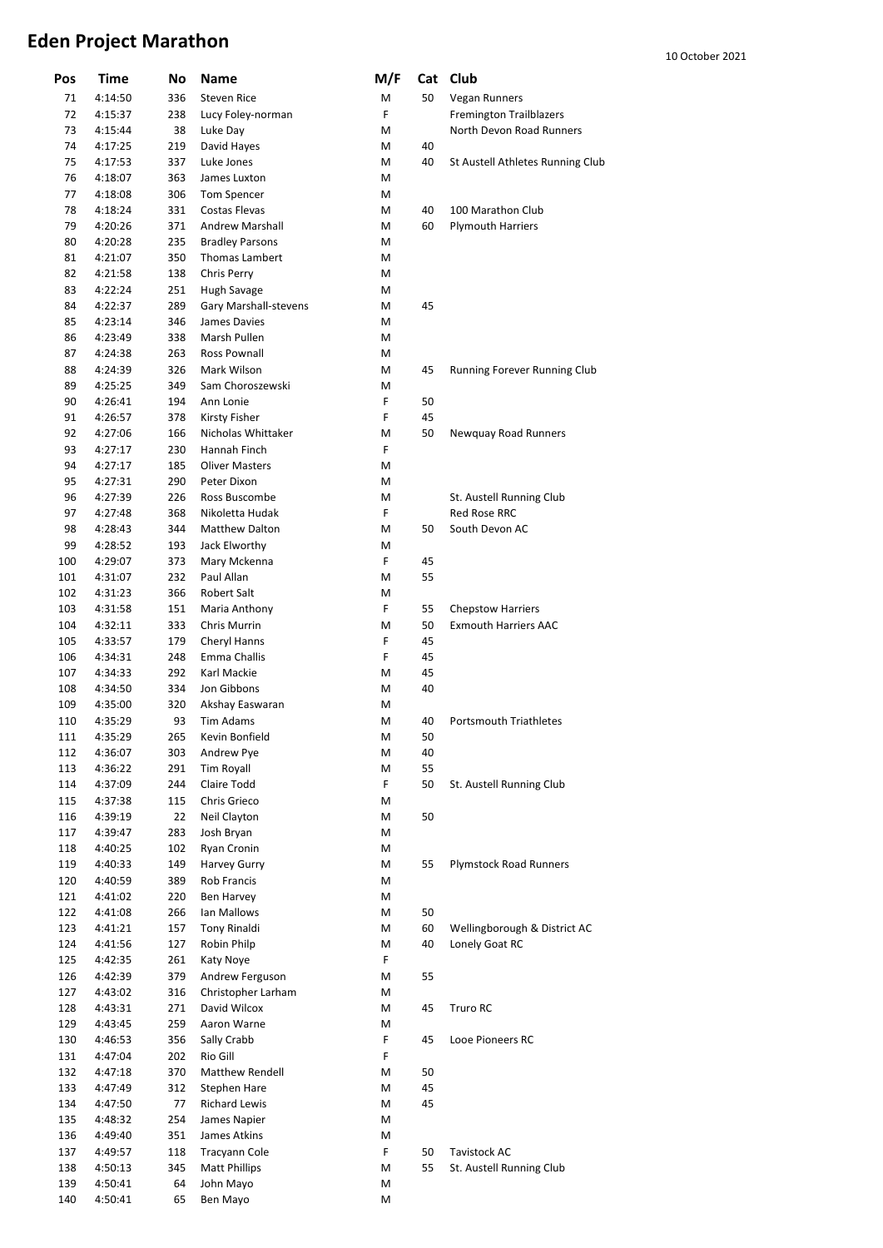## **Eden Project Marathon**

| Pos        | Time               | No         | Name                        | M/F    |    | Cat Club                         |
|------------|--------------------|------------|-----------------------------|--------|----|----------------------------------|
| 71         | 4:14:50            | 336        | <b>Steven Rice</b>          | M      | 50 | <b>Vegan Runners</b>             |
| 72         | 4:15:37            | 238        | Lucy Foley-norman           | F      |    | <b>Fremington Trailblazers</b>   |
| 73         | 4:15:44            | 38         | Luke Day                    | М      |    | North Devon Road Runners         |
| 74         | 4:17:25            | 219        | David Hayes                 | М      | 40 |                                  |
| 75         | 4:17:53            | 337        | Luke Jones                  | M      | 40 | St Austell Athletes Running Club |
| 76         | 4:18:07            | 363        | James Luxton                | M      |    |                                  |
| 77         | 4:18:08            | 306        | Tom Spencer                 | M      |    |                                  |
| 78         | 4:18:24            | 331        | Costas Flevas               | М      | 40 | 100 Marathon Club                |
| 79         | 4:20:26            | 371        | <b>Andrew Marshall</b>      | М      | 60 | <b>Plymouth Harriers</b>         |
| 80         | 4:20:28            | 235        | <b>Bradley Parsons</b>      | М      |    |                                  |
| 81         | 4:21:07            | 350        | Thomas Lambert              | М      |    |                                  |
| 82         | 4:21:58            | 138        | Chris Perry                 | M      |    |                                  |
| 83         | 4:22:24            | 251        | Hugh Savage                 | М      |    |                                  |
| 84         | 4:22:37            | 289        | Gary Marshall-stevens       | М      | 45 |                                  |
| 85         | 4:23:14            | 346        | James Davies                | М      |    |                                  |
| 86         | 4:23:49            | 338        | Marsh Pullen                | М      |    |                                  |
| 87         | 4:24:38            | 263        | Ross Pownall                | М      |    |                                  |
| 88         | 4:24:39            | 326        | Mark Wilson                 | M      | 45 | Running Forever Running Club     |
| 89         | 4:25:25            | 349        | Sam Choroszewski            | М      |    |                                  |
| 90         | 4:26:41            | 194        | Ann Lonie                   | F      | 50 |                                  |
| 91         | 4:26:57            | 378        | Kirsty Fisher               | F      | 45 |                                  |
| 92         | 4:27:06            | 166        | Nicholas Whittaker          | М      | 50 | Newquay Road Runners             |
| 93         | 4:27:17            | 230        | Hannah Finch                | F      |    |                                  |
| 94         | 4:27:17            | 185        | <b>Oliver Masters</b>       | М      |    |                                  |
| 95         | 4:27:31            | 290        | Peter Dixon                 | М      |    |                                  |
| 96         | 4:27:39            | 226        | Ross Buscombe               | М      |    | St. Austell Running Club         |
| 97         | 4:27:48            | 368        | Nikoletta Hudak             | F      |    | <b>Red Rose RRC</b>              |
| 98         | 4:28:43            | 344        | <b>Matthew Dalton</b>       | М      | 50 | South Devon AC                   |
| 99         | 4:28:52            | 193        | Jack Elworthy               | M      |    |                                  |
| 100        | 4:29:07            | 373        | Mary Mckenna                | F      | 45 |                                  |
| 101        | 4:31:07            | 232        | Paul Allan                  | M      | 55 |                                  |
| 102        | 4:31:23            | 366        | Robert Salt                 | М      |    |                                  |
| 103        | 4:31:58            | 151        | Maria Anthony               | F      | 55 | <b>Chepstow Harriers</b>         |
| 104        | 4:32:11            | 333        | Chris Murrin                | M      | 50 | <b>Exmouth Harriers AAC</b>      |
| 105        | 4:33:57            | 179        | Cheryl Hanns                | F      | 45 |                                  |
| 106        | 4:34:31            | 248        | Emma Challis                | F      | 45 |                                  |
| 107        | 4:34:33            | 292        | Karl Mackie                 | M      | 45 |                                  |
| 108        | 4:34:50            | 334        | Jon Gibbons                 | М      | 40 |                                  |
| 109        | 4:35:00            | 320        | Akshay Easwaran             | Μ      |    |                                  |
| 110        | 4:35:29            | 93         | Tim Adams                   | М      | 40 | <b>Portsmouth Triathletes</b>    |
| 111        | 4:35:29            | 265        | Kevin Bonfield              | М      | 50 |                                  |
| 112        | 4:36:07            | 303        | Andrew Pye                  | М      | 40 |                                  |
| 113        | 4:36:22            | 291        | <b>Tim Royall</b>           | М      | 55 |                                  |
| 114        | 4:37:09            | 244        | Claire Todd                 | F      | 50 | St. Austell Running Club         |
| 115        | 4:37:38            | 115        | Chris Grieco                | М      |    |                                  |
| 116        | 4:39:19            | 22         | Neil Clayton                | М      | 50 |                                  |
| 117        | 4:39:47            | 283        | Josh Bryan                  | М      |    |                                  |
| 118        | 4:40:25            | 102        | Ryan Cronin                 | М      |    |                                  |
| 119        | 4:40:33            | 149        | Harvey Gurry                | М      | 55 | <b>Plymstock Road Runners</b>    |
| 120        | 4:40:59            | 389        | Rob Francis                 | М      |    |                                  |
| 121<br>122 | 4:41:02            | 220<br>266 | Ben Harvey<br>Ian Mallows   | М<br>М | 50 |                                  |
| 123        | 4:41:08            | 157        |                             | М      | 60 | Wellingborough & District AC     |
| 124        | 4:41:21            | 127        | Tony Rinaldi<br>Robin Philp | М      | 40 | Lonely Goat RC                   |
| 125        | 4:41:56<br>4:42:35 | 261        | Katy Noye                   | F      |    |                                  |
| 126        | 4:42:39            | 379        | Andrew Ferguson             | М      | 55 |                                  |
| 127        | 4:43:02            | 316        | Christopher Larham          | М      |    |                                  |
| 128        | 4:43:31            | 271        | David Wilcox                | М      | 45 | Truro RC                         |
| 129        | 4:43:45            | 259        | Aaron Warne                 | М      |    |                                  |
| 130        | 4:46:53            | 356        | Sally Crabb                 | F      | 45 | Looe Pioneers RC                 |
| 131        | 4:47:04            | 202        | Rio Gill                    | F      |    |                                  |
| 132        | 4:47:18            | 370        | Matthew Rendell             | М      | 50 |                                  |
| 133        | 4:47:49            | 312        | Stephen Hare                | М      | 45 |                                  |
| 134        | 4:47:50            | 77         | Richard Lewis               | М      | 45 |                                  |
| 135        | 4:48:32            | 254        | James Napier                | М      |    |                                  |
| 136        | 4:49:40            | 351        | James Atkins                | М      |    |                                  |
| 137        | 4:49:57            | 118        | Tracyann Cole               | F      | 50 | <b>Tavistock AC</b>              |
| 138        | 4:50:13            | 345        | <b>Matt Phillips</b>        | M      | 55 | St. Austell Running Club         |
| 139        | 4:50:41            | 64         | John Mayo                   | М      |    |                                  |
| 140        | 4:50:41            | 65         | Ben Mayo                    | М      |    |                                  |
|            |                    |            |                             |        |    |                                  |